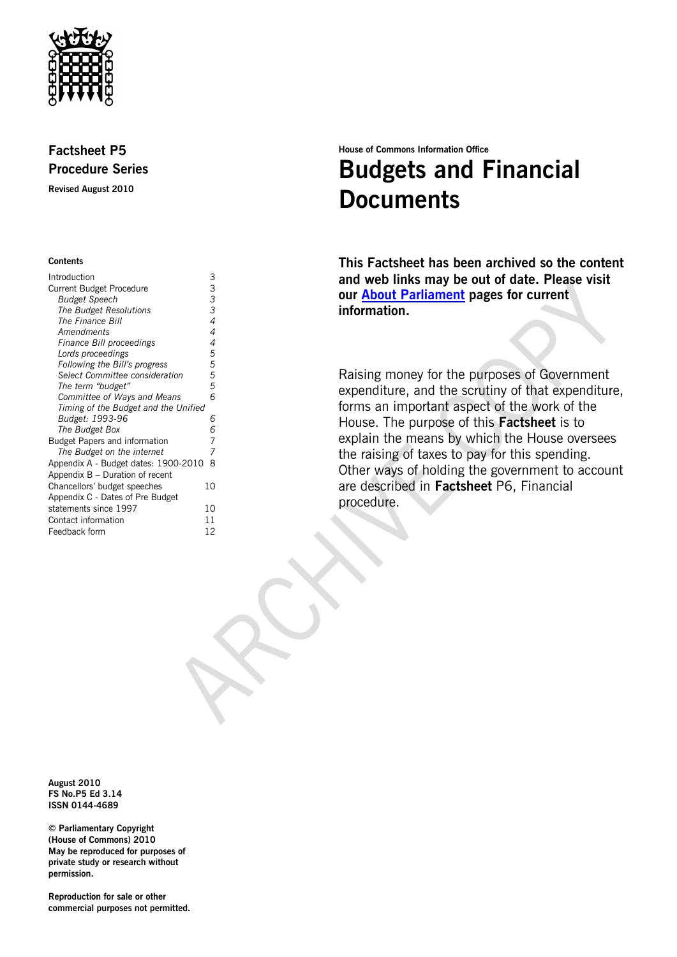

## **Factsheet P5 Procedure Series**

**Revised August 2010**

### **Contents**

| Introduction                         | 3              |
|--------------------------------------|----------------|
| <b>Current Budget Procedure</b>      | 3              |
| <b>Budget Speech</b>                 | 3              |
| <b>The Budget Resolutions</b>        | 3              |
| The Finance Bill                     | 4              |
| Amendments                           | $\overline{4}$ |
| Finance Bill proceedings             | 4              |
| Lords proceedings                    | 5              |
| Following the Bill's progress        | 5              |
| Select Committee consideration       | 5              |
| The term "budget"                    | 5              |
| Committee of Ways and Means          | 6              |
| Timing of the Budget and the Unified |                |
| Budget: 1993-96                      | 6              |
| The Budget Box                       | 6              |
| <b>Budget Papers and information</b> | 7              |
| The Budget on the internet           | 7              |
| Appendix A - Budget dates: 1900-2010 | 8              |
| Appendix $B -$ Duration of recent    |                |
| Chancellors' budget speeches         | 10             |
| Appendix C - Dates of Pre Budget     |                |
| statements since 1997                | 10             |
| Contact information                  | 11             |
| Feedback form                        | 12             |
|                                      |                |

## **House of Commons Information Office Budgets and Financial Documents**

**This Factsheet has been archived so the content and web links may be out of date. Please visit our [About Parliament](http://www.parliament.uk/about/) pages for current information.**

Raising money for the purposes of Government expenditure, and the scrutiny of that expenditure, forms an important aspect of the work of the House. The purpose of this **Factsheet** is to explain the means by which the House oversees the raising of taxes to pay for this spending. Other ways of holding the government to account are described in **Factsheet** P6, Financial procedure.

**August 2010 FS No.P5 Ed 3.14 ISSN 0144-4689**

**© Parliamentary Copyright (House of Commons) 2010 May be reproduced for purposes of private study or research without permission.** 

**Reproduction for sale or other commercial purposes not permitted.**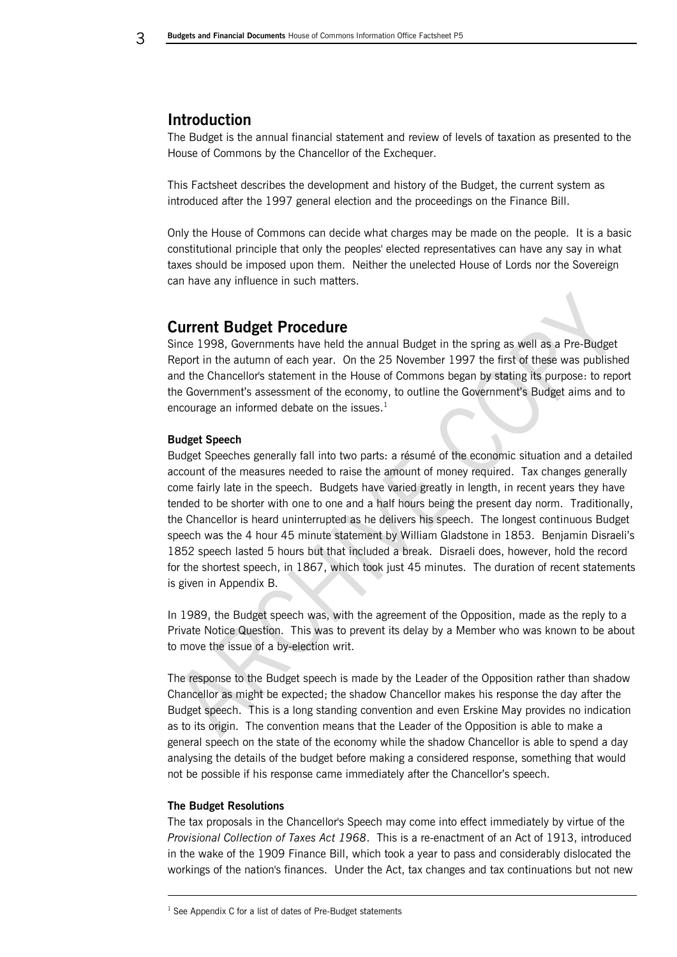## <span id="page-1-0"></span>**Introduction**

The Budget is the annual financial statement and review of levels of taxation as presented to the House of Commons by the Chancellor of the Exchequer.

This Factsheet describes the development and history of the Budget, the current system as introduced after the 1997 general election and the proceedings on the Finance Bill.

Only the House of Commons can decide what charges may be made on the people. It is a basic constitutional principle that only the peoples' elected representatives can have any say in what taxes should be imposed upon them. Neither the unelected House of Lords nor the Sovereign can have any influence in such matters.

## <span id="page-1-1"></span>**Current Budget Procedure**

Since 1998, Governments have held the annual Budget in the spring as well as a Pre-Budget Report in the autumn of each year. On the 25 November 1997 the first of these was published and the Chancellor's statement in the House of Commons began by stating its purpose: to report the Government's assessment of the economy, to outline the Government's Budget aims and to encourage an informed debate on the issues.<sup>1</sup>

## <span id="page-1-2"></span>**Budget Speech**

Budget Speeches generally fall into two parts: a résumé of the economic situation and a detailed account of the measures needed to raise the amount of money required. Tax changes generally come fairly late in the speech. Budgets have varied greatly in length, in recent years they have tended to be shorter with one to one and a half hours being the present day norm. Traditionally, the Chancellor is heard uninterrupted as he delivers his speech. The longest continuous Budget speech was the 4 hour 45 minute statement by William Gladstone in 1853. Benjamin Disraeli's 1852 speech lasted 5 hours but that included a break. Disraeli does, however, hold the record for the shortest speech, in 1867, which took just 45 minutes. The duration of recent statements is given in Appendix B.

In 1989, the Budget speech was, with the agreement of the Opposition, made as the reply to a Private Notice Question. This was to prevent its delay by a Member who was known to be about to move the issue of a by-election writ.

The response to the Budget speech is made by the Leader of the Opposition rather than shadow Chancellor as might be expected; the shadow Chancellor makes his response the day after the Budget speech. This is a long standing convention and even Erskine May provides no indication as to its origin. The convention means that the Leader of the Opposition is able to make a general speech on the state of the economy while the shadow Chancellor is able to spend a day analysing the details of the budget before making a considered response, something that would not be possible if his response came immediately after the Chancellor's speech.

#### <span id="page-1-3"></span>**The Budget Resolutions**

-

The tax proposals in the Chancellor's Speech may come into effect immediately by virtue of the *Provisional Collection of Taxes Act 1968*. This is a re-enactment of an Act of 1913, introduced in the wake of the 1909 Finance Bill, which took a year to pass and considerably dislocated the workings of the nation's finances. Under the Act, tax changes and tax continuations but not new

 $1$  See Appendix C for a list of dates of Pre-Budget statements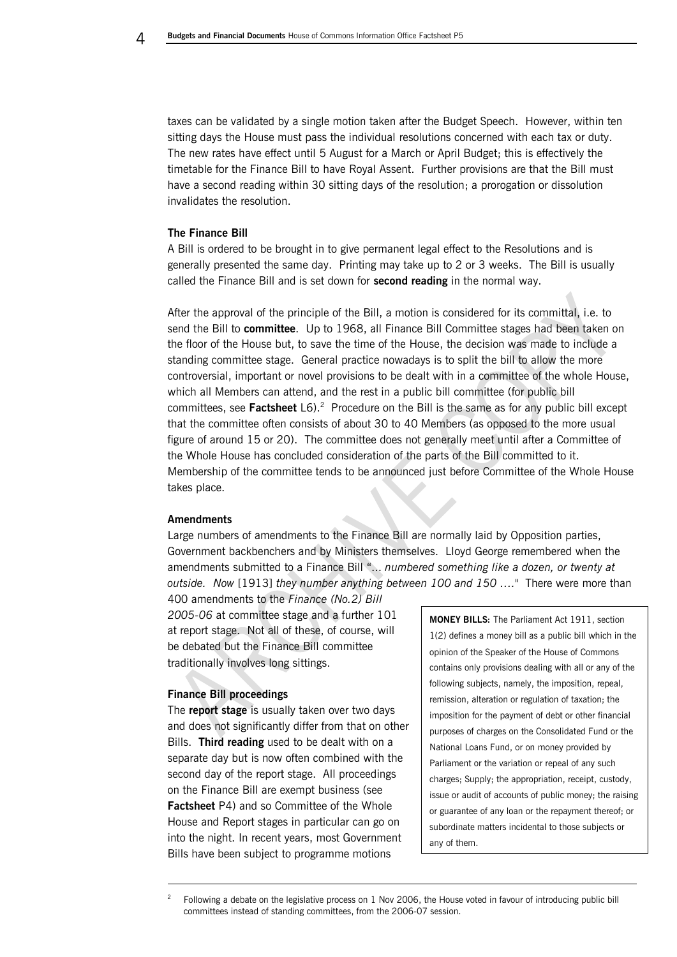taxes can be validated by a single motion taken after the Budget Speech. However, within ten sitting days the House must pass the individual resolutions concerned with each tax or duty. The new rates have effect until 5 August for a March or April Budget; this is effectively the timetable for the Finance Bill to have Royal Assent. Further provisions are that the Bill must have a second reading within 30 sitting days of the resolution; a prorogation or dissolution invalidates the resolution.

## <span id="page-2-0"></span>**The Finance Bill**

A Bill is ordered to be brought in to give permanent legal effect to the Resolutions and is generally presented the same day. Printing may take up to 2 or 3 weeks. The Bill is usually called the Finance Bill and is set down for **second reading** in the normal way.

After the approval of the principle of the Bill, a motion is considered for its committal, i.e. to send the Bill to **committee**. Up to 1968, all Finance Bill Committee stages had been taken on the floor of the House but, to save the time of the House, the decision was made to include a standing committee stage. General practice nowadays is to split the bill to allow the more controversial, important or novel provisions to be dealt with in a committee of the whole House, which all Members can attend, and the rest in a public bill committee (for public bill committees, see Factsheet L6).<sup>2</sup> Procedure on the Bill is the same as for any public bill except that the committee often consists of about 30 to 40 Members (as opposed to the more usual figure of around 15 or 20). The committee does not generally meet until after a Committee of the Whole House has concluded consideration of the parts of the Bill committed to it. Membership of the committee tends to be announced just before Committee of the Whole House takes place.

#### <span id="page-2-1"></span>**Amendments**

Large numbers of amendments to the Finance Bill are normally laid by Opposition parties, Government backbenchers and by Ministers themselves. Lloyd George remembered when the amendments submitted to a Finance Bill "... *numbered something like a dozen, or twenty at outside. Now* [1913] *they number anything between 100 and 150 …."* There were more than

400 amendments to the *Finance (No.2) Bill 2005-06* at committee stage and a further 101 at report stage. Not all of these, of course, will be debated but the Finance Bill committee traditionally involves long sittings.

## <span id="page-2-2"></span>**Finance Bill proceedings**

-

The **report stage** is usually taken over two days and does not significantly differ from that on other Bills. **Third reading** used to be dealt with on a separate day but is now often combined with the second day of the report stage. All proceedings on the Finance Bill are exempt business (see **Factsheet** P4) and so Committee of the Whole House and Report stages in particular can go on into the night. In recent years, most Government Bills have been subject to programme motions

**MONEY BILLS:** The Parliament Act 1911, section 1(2) defines a money bill as a public bill which in the opinion of the Speaker of the House of Commons contains only provisions dealing with all or any of the following subjects, namely, the imposition, repeal, remission, alteration or regulation of taxation; the imposition for the payment of debt or other financial purposes of charges on the Consolidated Fund or the National Loans Fund, or on money provided by Parliament or the variation or repeal of any such charges; Supply; the appropriation, receipt, custody, issue or audit of accounts of public money; the raising or guarantee of any loan or the repayment thereof; or subordinate matters incidental to those subjects or any of them.

<sup>&</sup>lt;sup>2</sup> Following a debate on the legislative process on  $1$  Nov 2006, the House voted in favour of introducing public bill committees instead of standing committees, from the 2006-07 session.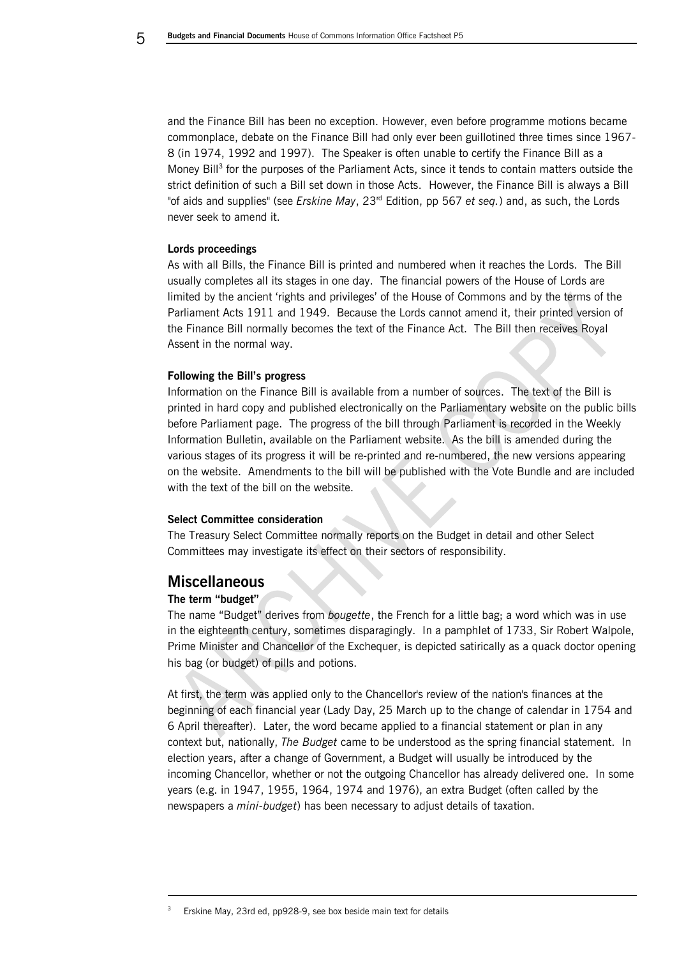and the Finance Bill has been no exception. However, even before programme motions became commonplace, debate on the Finance Bill had only ever been guillotined three times since 1967- 8 (in 1974, 1992 and 1997). The Speaker is often unable to certify the Finance Bill as a Money Bill<sup>3</sup> for the purposes of the Parliament Acts, since it tends to contain matters outside the strict definition of such a Bill set down in those Acts. However, the Finance Bill is always a Bill "of aids and supplies" (see *Erskine May*, 23rd Edition, pp 567 *et seq.*) and, as such, the Lords never seek to amend it.

## <span id="page-3-0"></span>**Lords proceedings**

As with all Bills, the Finance Bill is printed and numbered when it reaches the Lords. The Bill usually completes all its stages in one day. The financial powers of the House of Lords are limited by the ancient 'rights and privileges' of the House of Commons and by the terms of the Parliament Acts 1911 and 1949. Because the Lords cannot amend it, their printed version of the Finance Bill normally becomes the text of the Finance Act. The Bill then receives Royal Assent in the normal way.

## <span id="page-3-1"></span>**Following the Bill's progress**

Information on the Finance Bill is available from a number of sources. The text of the Bill is printed in hard copy and published electronically on the Parliamentary website on the public bills before Parliament page. The progress of the bill through Parliament is recorded in the Weekly Information Bulletin, available on the Parliament website. As the bill is amended during the various stages of its progress it will be re-printed and re-numbered, the new versions appearing on the website. Amendments to the bill will be published with the Vote Bundle and are included with the text of the bill on the website.

#### <span id="page-3-2"></span>**Select Committee consideration**

The Treasury Select Committee normally reports on the Budget in detail and other Select Committees may investigate its effect on their sectors of responsibility.

## **Miscellaneous**

## <span id="page-3-3"></span>**The term "budget"**

-

The name "Budget" derives from *bougette*, the French for a little bag; a word which was in use in the eighteenth century, sometimes disparagingly. In a pamphlet of 1733, Sir Robert Walpole, Prime Minister and Chancellor of the Exchequer, is depicted satirically as a quack doctor opening his bag (or budget) of pills and potions.

At first, the term was applied only to the Chancellor's review of the nation's finances at the beginning of each financial year (Lady Day, 25 March up to the change of calendar in 1754 and 6 April thereafter). Later, the word became applied to a financial statement or plan in any context but, nationally, *The Budget* came to be understood as the spring financial statement. In election years, after a change of Government, a Budget will usually be introduced by the incoming Chancellor, whether or not the outgoing Chancellor has already delivered one. In some years (e.g. in 1947, 1955, 1964, 1974 and 1976), an extra Budget (often called by the newspapers a *mini-budget*) has been necessary to adjust details of taxation.

Erskine May, 23rd ed, pp928-9, see box beside main text for details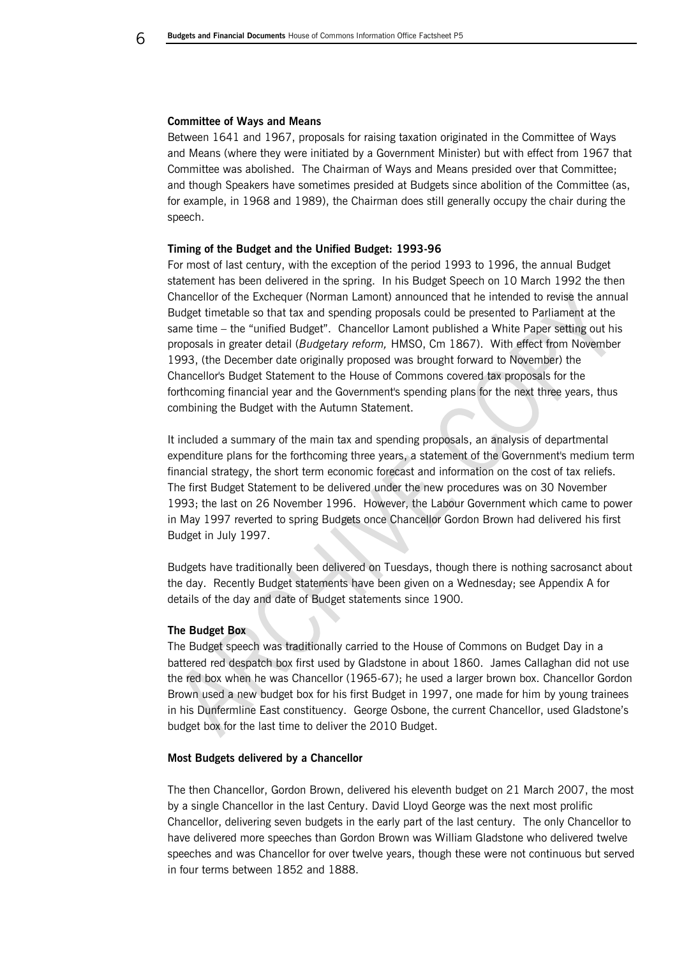## <span id="page-4-0"></span>**Committee of Ways and Means**

Between 1641 and 1967, proposals for raising taxation originated in the Committee of Ways and Means (where they were initiated by a Government Minister) but with effect from 1967 that Committee was abolished. The Chairman of Ways and Means presided over that Committee; and though Speakers have sometimes presided at Budgets since abolition of the Committee (as, for example, in 1968 and 1989), the Chairman does still generally occupy the chair during the speech.

#### <span id="page-4-1"></span>**Timing of the Budget and the Unified Budget: 1993-96**

For most of last century, with the exception of the period 1993 to 1996, the annual Budget statement has been delivered in the spring. In his Budget Speech on 10 March 1992 the then Chancellor of the Exchequer (Norman Lamont) announced that he intended to revise the annual Budget timetable so that tax and spending proposals could be presented to Parliament at the same time – the "unified Budget". Chancellor Lamont published a White Paper setting out his proposals in greater detail (*Budgetary reform,* HMSO, Cm 1867). With effect from November 1993, (the December date originally proposed was brought forward to November) the Chancellor's Budget Statement to the House of Commons covered tax proposals for the forthcoming financial year and the Government's spending plans for the next three years, thus combining the Budget with the Autumn Statement.

It included a summary of the main tax and spending proposals, an analysis of departmental expenditure plans for the forthcoming three years, a statement of the Government's medium term financial strategy, the short term economic forecast and information on the cost of tax reliefs. The first Budget Statement to be delivered under the new procedures was on 30 November 1993; the last on 26 November 1996. However, the Labour Government which came to power in May 1997 reverted to spring Budgets once Chancellor Gordon Brown had delivered his first Budget in July 1997.

Budgets have traditionally been delivered on Tuesdays, though there is nothing sacrosanct about the day. Recently Budget statements have been given on a Wednesday; see Appendix A for details of the day and date of Budget statements since 1900.

#### <span id="page-4-2"></span>**The Budget Box**

The Budget speech was traditionally carried to the House of Commons on Budget Day in a battered red despatch box first used by Gladstone in about 1860. James Callaghan did not use the red box when he was Chancellor (1965-67); he used a larger brown box. Chancellor Gordon Brown used a new budget box for his first Budget in 1997, one made for him by young trainees in his Dunfermline East constituency. George Osbone, the current Chancellor, used Gladstone's budget box for the last time to deliver the 2010 Budget.

#### **Most Budgets delivered by a Chancellor**

The then Chancellor, Gordon Brown, delivered his eleventh budget on 21 March 2007, the most by a single Chancellor in the last Century. David Lloyd George was the next most prolific Chancellor, delivering seven budgets in the early part of the last century. The only Chancellor to have delivered more speeches than Gordon Brown was William Gladstone who delivered twelve speeches and was Chancellor for over twelve years, though these were not continuous but served in four terms between 1852 and 1888.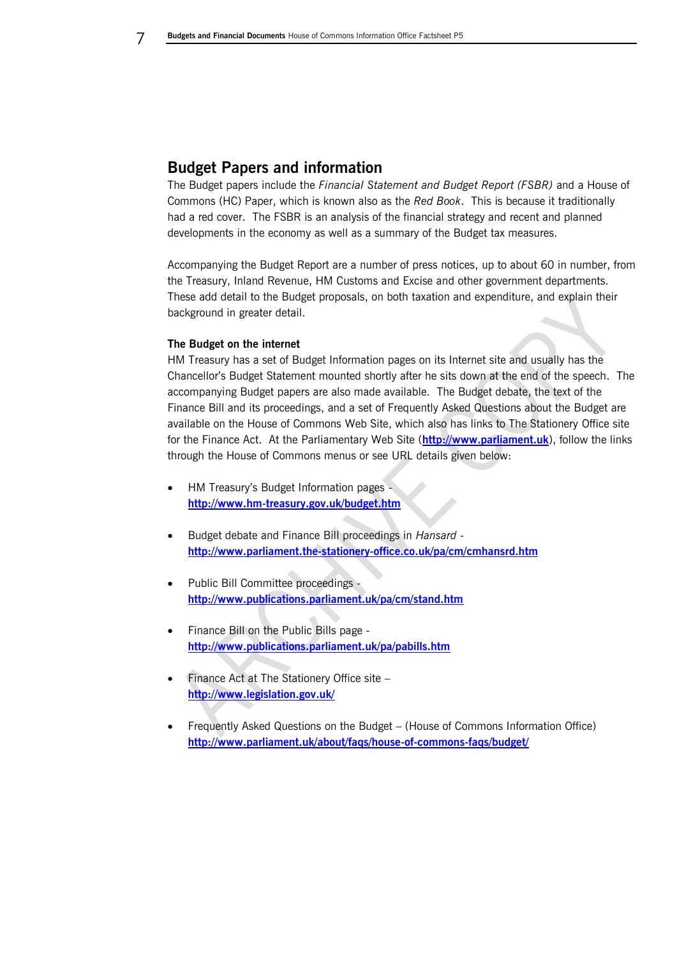## <span id="page-5-0"></span>**Budget Papers and information**

The Budget papers include the *Financial Statement and Budget Report (FSBR)* and a House of Commons (HC) Paper, which is known also as the *Red Book*. This is because it traditionally had a red cover. The FSBR is an analysis of the financial strategy and recent and planned developments in the economy as well as a summary of the Budget tax measures.

Accompanying the Budget Report are a number of press notices, up to about 60 in number, from the Treasury, Inland Revenue, HM Customs and Excise and other government departments. These add detail to the Budget proposals, on both taxation and expenditure, and explain their background in greater detail.

## <span id="page-5-1"></span>**The Budget on the internet**

HM Treasury has a set of Budget Information pages on its Internet site and usually has the Chancellor's Budget Statement mounted shortly after he sits down at the end of the speech. The accompanying Budget papers are also made available. The Budget debate, the text of the Finance Bill and its proceedings, and a set of Frequently Asked Questions about the Budget are available on the House of Commons Web Site, which also has links to The Stationery Office site for the Finance Act. At the Parliamentary Web Site (**[http://www.parliament.uk](http://www.parliament.uk/)**), follow the links through the House of Commons menus or see URL details given below:

- HM Treasury's Budget Information pages **<http://www.hm-treasury.gov.uk/budget.htm>**
- Budget debate and Finance Bill proceedings in *Hansard* **<http://www.parliament.the-stationery-office.co.uk/pa/cm/cmhansrd.htm>**
- Public Bill Committee proceedings **<http://www.publications.parliament.uk/pa/cm/stand.htm>**
- Finance Bill on the Public Bills page **<http://www.publications.parliament.uk/pa/pabills.htm>**
- Finance Act at The Stationery Office site **<http://www.legislation.gov.uk/>**
- Frequently Asked Questions on the Budget (House of Commons Information Office) **<http://www.parliament.uk/about/faqs/house-of-commons-faqs/budget/>**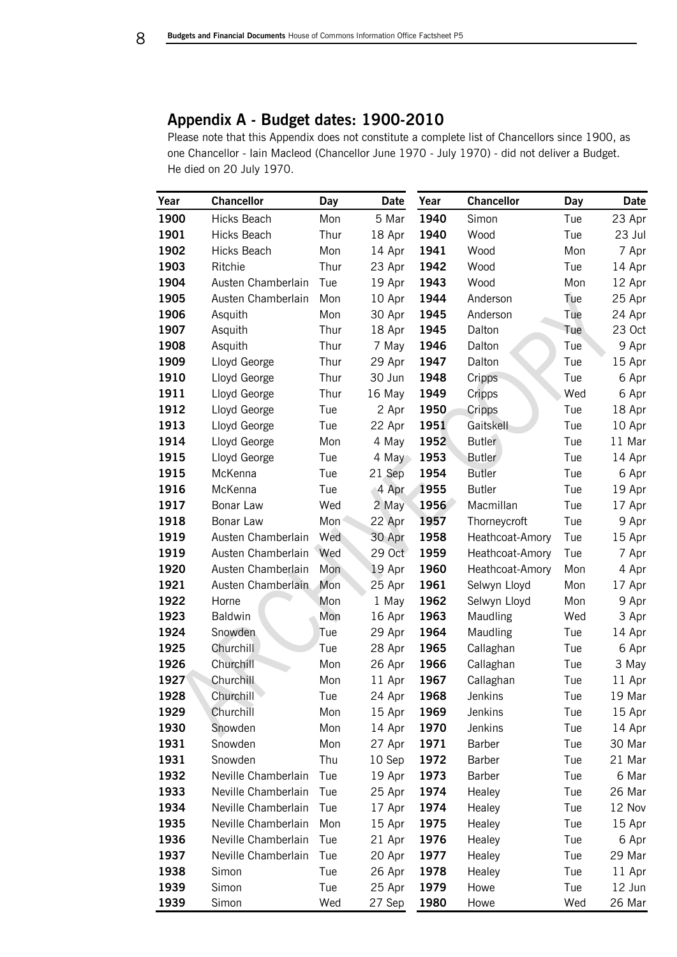## <span id="page-6-0"></span>**Appendix A - Budget dates: 1900-2010**

Please note that this Appendix does not constitute a complete list of Chancellors since 1900, as one Chancellor - Iain Macleod (Chancellor June 1970 - July 1970) - did not deliver a Budget. He died on 20 July 1970.

| Year | <b>Chancellor</b>   | Day  | Date   | Year | <b>Chancellor</b> | <b>Day</b> | Date   |
|------|---------------------|------|--------|------|-------------------|------------|--------|
| 1900 | Hicks Beach         | Mon  | 5 Mar  | 1940 | Simon             | Tue        | 23 Apr |
| 1901 | Hicks Beach         | Thur | 18 Apr | 1940 | Wood              | Tue        | 23 Jul |
| 1902 | Hicks Beach         | Mon  | 14 Apr | 1941 | Wood              | Mon        | 7 Apr  |
| 1903 | Ritchie             | Thur | 23 Apr | 1942 | Wood              | Tue        | 14 Apr |
| 1904 | Austen Chamberlain  | Tue  | 19 Apr | 1943 | Wood              | Mon        | 12 Apr |
| 1905 | Austen Chamberlain  | Mon  | 10 Apr | 1944 | Anderson          | Tue        | 25 Apr |
| 1906 | Asquith             | Mon  | 30 Apr | 1945 | Anderson          | Tue        | 24 Apr |
| 1907 | Asquith             | Thur | 18 Apr | 1945 | Dalton            | Tue        | 23 Oct |
| 1908 | Asquith             | Thur | 7 May  | 1946 | Dalton            | Tue        | 9 Apr  |
| 1909 | Lloyd George        | Thur | 29 Apr | 1947 | Dalton            | Tue        | 15 Apr |
| 1910 | Lloyd George        | Thur | 30 Jun | 1948 | Cripps            | Tue        | 6 Apr  |
| 1911 | Lloyd George        | Thur | 16 May | 1949 | Cripps            | Wed        | 6 Apr  |
| 1912 | Lloyd George        | Tue  | 2 Apr  | 1950 | Cripps            | Tue        | 18 Apr |
| 1913 | Lloyd George        | Tue  | 22 Apr | 1951 | Gaitskell         | Tue        | 10 Apr |
| 1914 | Lloyd George        | Mon  | 4 May  | 1952 | <b>Butler</b>     | Tue        | 11 Mar |
| 1915 | Lloyd George        | Tue  | 4 May  | 1953 | <b>Butler</b>     | Tue        | 14 Apr |
| 1915 | McKenna             | Tue  | 21 Sep | 1954 | <b>Butler</b>     | Tue        | 6 Apr  |
| 1916 | McKenna             | Tue  | 4 Apr  | 1955 | <b>Butler</b>     | Tue        | 19 Apr |
| 1917 | Bonar Law           | Wed  | 2 May  | 1956 | Macmillan         | Tue        | 17 Apr |
| 1918 | Bonar Law           | Mon  | 22 Apr | 1957 | Thorneycroft      | Tue        | 9 Apr  |
| 1919 | Austen Chamberlain  | Wed  | 30 Apr | 1958 | Heathcoat-Amory   | Tue        | 15 Apr |
| 1919 | Austen Chamberlain  | Wed  | 29 Oct | 1959 | Heathcoat-Amory   | Tue        | 7 Apr  |
| 1920 | Austen Chamberlain  | Mon  | 19 Apr | 1960 | Heathcoat-Amory   | Mon        | 4 Apr  |
| 1921 | Austen Chamberlain  | Mon  | 25 Apr | 1961 | Selwyn Lloyd      | Mon        | 17 Apr |
| 1922 | Horne               | Mon  | 1 May  | 1962 | Selwyn Lloyd      | Mon        | 9 Apr  |
| 1923 | Baldwin             | Mon  | 16 Apr | 1963 | Maudling          | Wed        | 3 Apr  |
| 1924 | Snowden             | Tue  | 29 Apr | 1964 | Maudling          | Tue        | 14 Apr |
| 1925 | Churchill           | Tue  | 28 Apr | 1965 | Callaghan         | Tue        | 6 Apr  |
| 1926 | Churchill           | Mon  | 26 Apr | 1966 | Callaghan         | Tue        | 3 May  |
| 1927 | Churchill           | Mon  | 11 Apr | 1967 | Callaghan         | Tue        | 11 Apr |
| 1928 | Churchill           | Tue  | 24 Apr | 1968 | Jenkins           | Tue        | 19 Mar |
| 1929 | Churchill           | Mon  | 15 Apr | 1969 | Jenkins           | Tue        | 15 Apr |
| 1930 | Snowden             | Mon  | 14 Apr | 1970 | Jenkins           | Tue        | 14 Apr |
| 1931 | Snowden             | Mon  | 27 Apr | 1971 | Barber            | Tue        | 30 Mar |
| 1931 | Snowden             | Thu  | 10 Sep | 1972 | Barber            | Tue        | 21 Mar |
| 1932 | Neville Chamberlain | Tue  | 19 Apr | 1973 | Barber            | Tue        | 6 Mar  |
| 1933 | Neville Chamberlain | Tue  | 25 Apr | 1974 | Healey            | Tue        | 26 Mar |
| 1934 | Neville Chamberlain | Tue  | 17 Apr | 1974 | Healey            | Tue        | 12 Nov |
| 1935 | Neville Chamberlain | Mon  | 15 Apr | 1975 | Healey            | Tue        | 15 Apr |
| 1936 | Neville Chamberlain | Tue  | 21 Apr | 1976 | Healey            | Tue        | 6 Apr  |
| 1937 | Neville Chamberlain | Tue  | 20 Apr | 1977 | Healey            | Tue        | 29 Mar |
| 1938 | Simon               | Tue  | 26 Apr | 1978 | Healey            | Tue        | 11 Apr |
| 1939 | Simon               | Tue  | 25 Apr | 1979 | Howe              | Tue        | 12 Jun |
| 1939 | Simon               | Wed  | 27 Sep | 1980 | Howe              | Wed        | 26 Mar |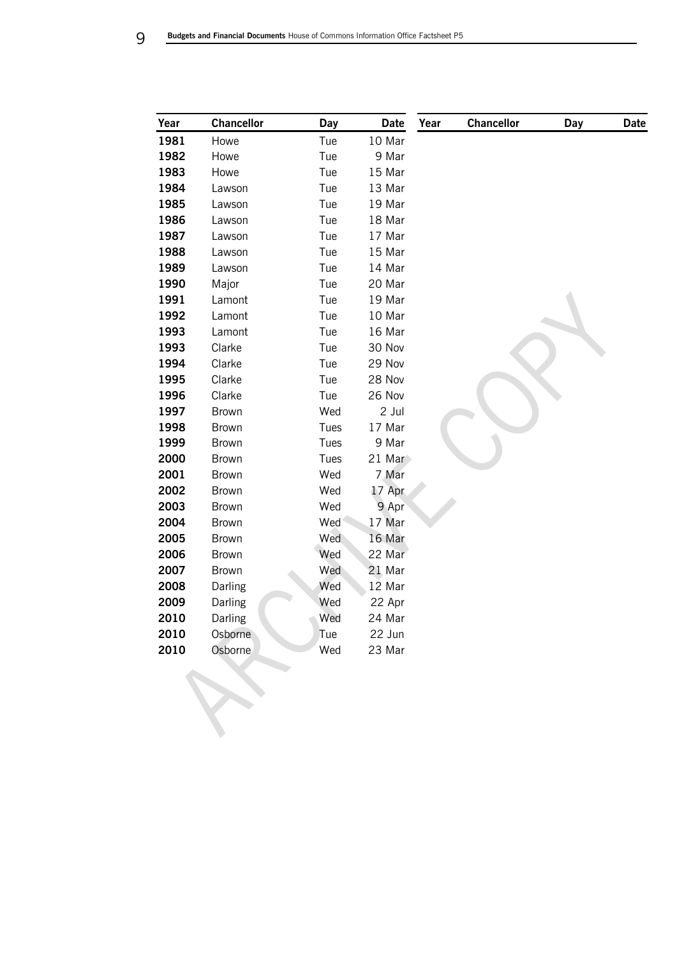| Year | <b>Chancellor</b> | Day  | Date     | Year | <b>Chancellor</b> | <b>Day</b> | <b>Date</b> |
|------|-------------------|------|----------|------|-------------------|------------|-------------|
| 1981 | Howe              | Tue  | 10 Mar   |      |                   |            |             |
| 1982 | Howe              | Tue  | 9 Mar    |      |                   |            |             |
| 1983 | Howe              | Tue  | 15 Mar   |      |                   |            |             |
| 1984 | Lawson            | Tue  | 13 Mar   |      |                   |            |             |
| 1985 | Lawson            | Tue  | 19 Mar   |      |                   |            |             |
| 1986 | Lawson            | Tue  | 18 Mar   |      |                   |            |             |
| 1987 | Lawson            | Tue  | 17 Mar   |      |                   |            |             |
| 1988 | Lawson            | Tue  | 15 Mar   |      |                   |            |             |
| 1989 | Lawson            | Tue  | 14 Mar   |      |                   |            |             |
| 1990 | Major             | Tue  | 20 Mar   |      |                   |            |             |
| 1991 | Lamont            | Tue  | 19 Mar   |      |                   |            |             |
| 1992 | Lamont            | Tue  | 10 Mar   |      |                   |            |             |
| 1993 | Lamont            | Tue  | 16 Mar   |      |                   |            |             |
| 1993 | Clarke            | Tue  | 30 Nov   |      |                   |            |             |
| 1994 | Clarke            | Tue  | 29 Nov   |      |                   |            |             |
| 1995 | Clarke            | Tue  | 28 Nov   |      |                   |            |             |
| 1996 | Clarke            | Tue  | 26 Nov   |      |                   |            |             |
| 1997 | Brown             | Wed  | 2 Jul    |      |                   |            |             |
| 1998 | Brown             | Tues | 17 Mar   |      |                   |            |             |
| 1999 | Brown             | Tues | 9 Mar    |      |                   |            |             |
| 2000 | Brown             | Tues | $21$ Mar |      |                   |            |             |
| 2001 | Brown             | Wed  | 7 Mar    |      |                   |            |             |
| 2002 | Brown             | Wed  | 17 Apr   |      |                   |            |             |
| 2003 | Brown             | Wed  | 9 Apr    |      |                   |            |             |
| 2004 | Brown             | Wed  | 17 Mar   |      |                   |            |             |
| 2005 | Brown             | Wed  | 16 Mar   |      |                   |            |             |
| 2006 | Brown             | Wed  | 22 Mar   |      |                   |            |             |
| 2007 | Brown             | Wed  | 21 Mar   |      |                   |            |             |
| 2008 | Darling           | Wed  | 12 Mar   |      |                   |            |             |
| 2009 | Darling           | Wed  | 22 Apr   |      |                   |            |             |
| 2010 | Darling           | Wed  | 24 Mar   |      |                   |            |             |
| 2010 | Osborne           | Tue  | 22 Jun   |      |                   |            |             |
| 2010 | Osborne           | Wed  | 23 Mar   |      |                   |            |             |
|      |                   |      |          |      |                   |            |             |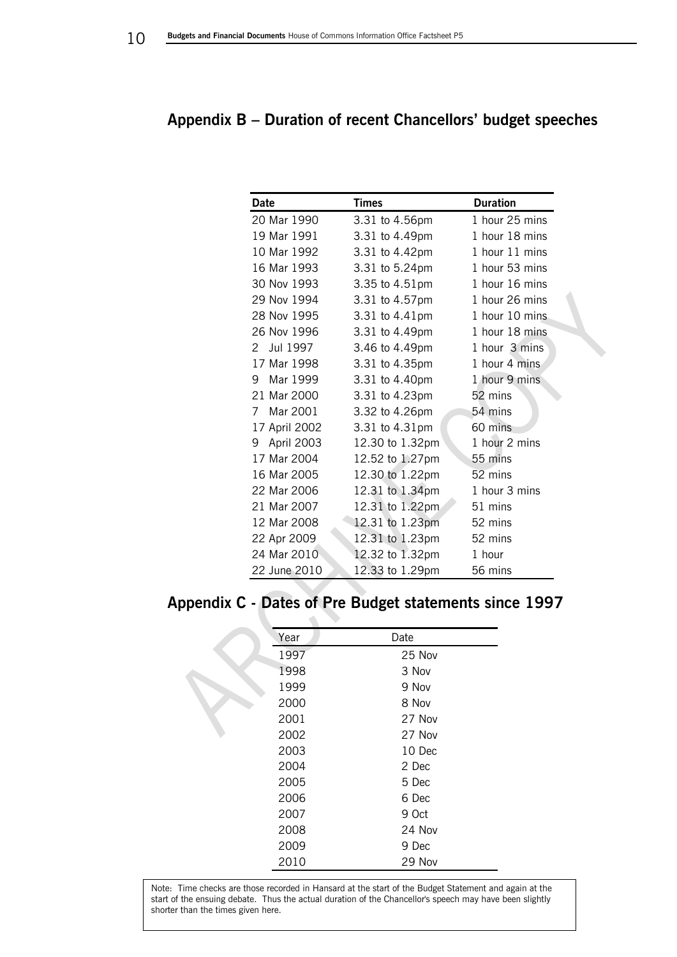## <span id="page-8-0"></span>**Appendix B – Duration of recent Chancellors' budget speeches**

| <b>Date</b>     | <b>Times</b>    | <b>Duration</b> |
|-----------------|-----------------|-----------------|
| 20 Mar 1990     | 3.31 to 4.56pm  | 1 hour 25 mins  |
| 19 Mar 1991     | 3.31 to 4.49pm  | 1 hour 18 mins  |
| 10 Mar 1992     | 3.31 to 4.42pm  | 1 hour 11 mins  |
| 16 Mar 1993     | 3.31 to 5.24pm  | 1 hour 53 mins  |
| 30 Nov 1993     | 3.35 to 4.51pm  | 1 hour 16 mins  |
| 29 Nov 1994     | 3.31 to 4.57pm  | 1 hour 26 mins  |
| 28 Nov 1995     | 3.31 to 4.41pm  | 1 hour 10 mins  |
| 26 Nov 1996     | 3.31 to 4.49pm  | 1 hour 18 mins  |
| Jul 1997<br>2   | 3.46 to 4.49pm  | 1 hour 3 mins   |
| 17 Mar 1998     | 3.31 to 4.35pm  | 1 hour 4 mins   |
| Mar 1999<br>9   | 3.31 to 4.40pm  | 1 hour 9 mins   |
| 21 Mar 2000     | 3.31 to 4.23pm  | 52 mins         |
| Mar 2001<br>7   | 3.32 to 4.26pm  | 54 mins         |
| 17 April 2002   | 3.31 to 4.31pm  | 60 mins         |
| April 2003<br>9 | 12.30 to 1.32pm | 1 hour 2 mins   |
| 17 Mar 2004     | 12.52 to 1.27pm | 55 mins         |
| 16 Mar 2005     | 12.30 to 1.22pm | 52 mins         |
| 22 Mar 2006     | 12.31 to 1.34pm | 1 hour 3 mins   |
| 21 Mar 2007     | 12.31 to 1.22pm | 51 mins         |
| 12 Mar 2008     | 12.31 to 1.23pm | 52 mins         |
| 22 Apr 2009     | 12.31 to 1.23pm | 52 mins         |
| 24 Mar 2010     | 12.32 to 1.32pm | 1 hour          |
| 22 June 2010    | 12.33 to 1.29pm | 56 mins         |

# <span id="page-8-1"></span>**Appendix C - Dates of Pre Budget statements since 1997**

| Year | Date   |
|------|--------|
| 1997 | 25 Nov |
| 1998 | 3 Nov  |
| 1999 | 9 Nov  |
| 2000 | 8 Nov  |
| 2001 | 27 Nov |
| 2002 | 27 Nov |
| 2003 | 10 Dec |
| 2004 | 2 Dec  |
| 2005 | 5 Dec  |
| 2006 | 6 Dec  |
| 2007 | 9 Oct  |
| 2008 | 24 Nov |
| 2009 | 9 Dec  |
| 2010 | 29 Nov |

Note: Time checks are those recorded in Hansard at the start of the Budget Statement and again at the start of the ensuing debate. Thus the actual duration of the Chancellor's speech may have been slightly shorter than the times given here.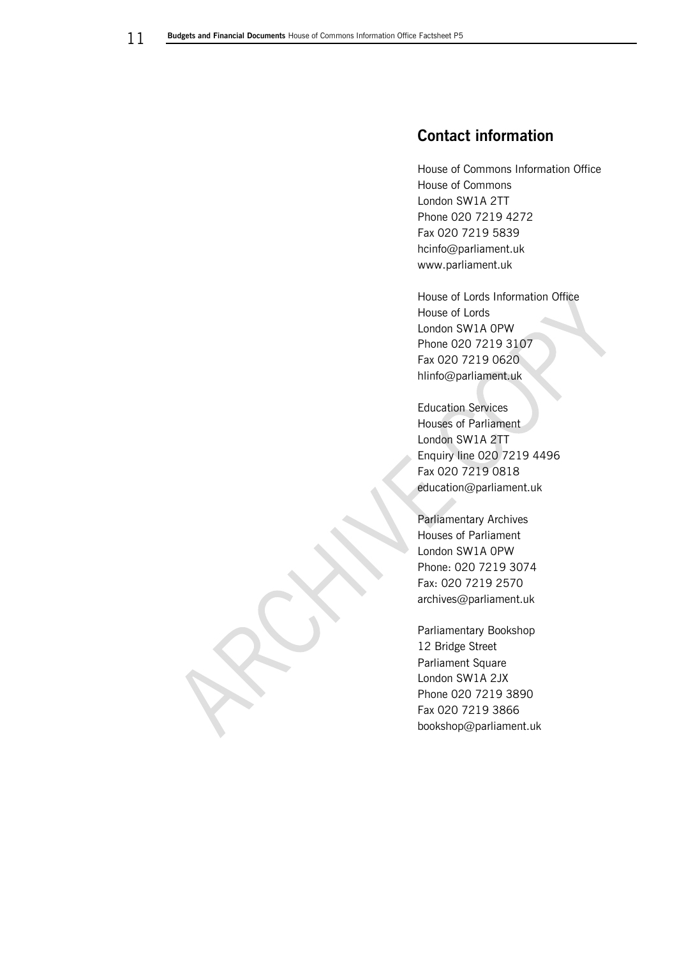# <span id="page-9-0"></span>**Contact information**

House of Commons Information Office House of Commons London SW1A 2TT Phone 020 7219 4272 Fax 020 7219 5839 hcinfo@parliament.uk www.parliament.uk

House of Lords Information Office House of Lords London SW1A 0PW Phone 020 7219 3107 Fax 020 7219 0620 hlinfo@parliament.uk

Education Services Houses of Parliament London SW1A 2TT Enquiry line 020 7219 4496 Fax 020 7219 0818 education@parliament.uk

Parliamentary Archives Houses of Parliament London SW1A 0PW Phone: 020 7219 3074 Fax: 020 7219 2570 archives@parliament.uk

Parliamentary Bookshop 12 Bridge Street Parliament Square London SW1A 2JX Phone 020 7219 3890 Fax 020 7219 3866 bookshop@parliament.uk